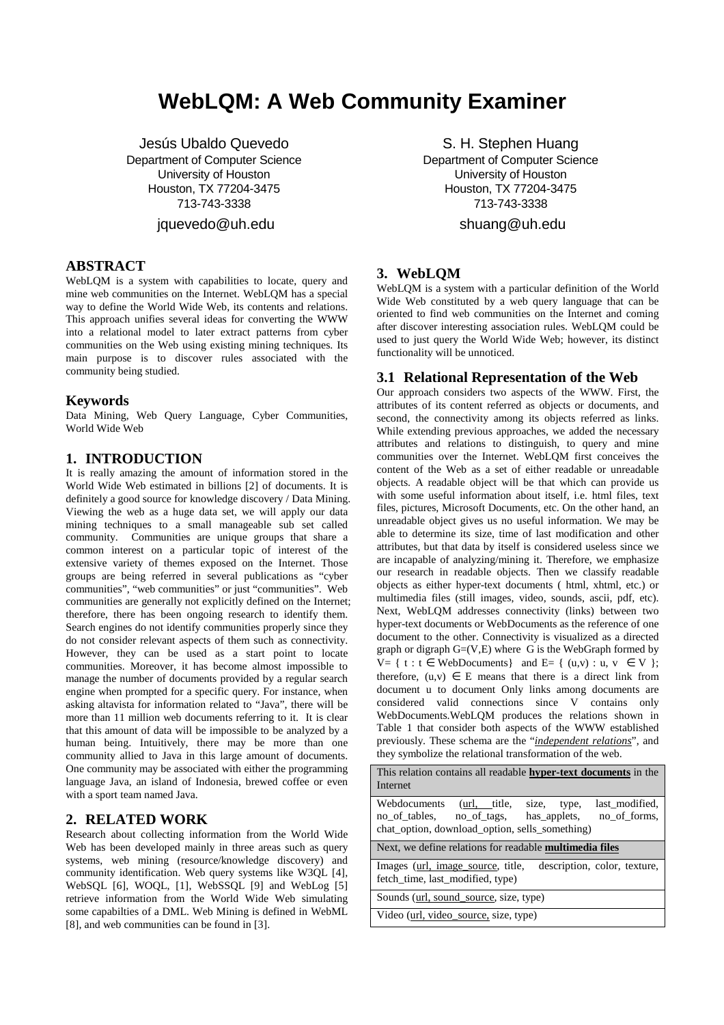# **WebLQM: A Web Community Examiner**

Jesús Ubaldo Quevedo Department of Computer Science University of Houston Houston, TX 77204-3475 713-743-3338

jquevedo@uh.edu

# **ABSTRACT**

WebLQM is a system with capabilities to locate, query and mine web communities on the Internet. WebLQM has a special way to define the World Wide Web, its contents and relations. This approach unifies several ideas for converting the WWW into a relational model to later extract patterns from cyber communities on the Web using existing mining techniques. Its main purpose is to discover rules associated with the community being studied.

### **Keywords**

Data Mining, Web Query Language, Cyber Communities, World Wide Web

# **1. INTRODUCTION**

It is really amazing the amount of information stored in the World Wide Web estimated in billions [2] of documents. It is definitely a good source for knowledge discovery / Data Mining. Viewing the web as a huge data set, we will apply our data mining techniques to a small manageable sub set called community. Communities are unique groups that share a common interest on a particular topic of interest of the extensive variety of themes exposed on the Internet. Those groups are being referred in several publications as "cyber communities", "web communities" or just "communities". Web communities are generally not explicitly defined on the Internet; therefore, there has been ongoing research to identify them. Search engines do not identify communities properly since they do not consider relevant aspects of them such as connectivity. However, they can be used as a start point to locate communities. Moreover, it has become almost impossible to manage the number of documents provided by a regular search engine when prompted for a specific query. For instance, when asking altavista for information related to "Java", there will be more than 11 million web documents referring to it. It is clear that this amount of data will be impossible to be analyzed by a human being. Intuitively, there may be more than one community allied to Java in this large amount of documents. One community may be associated with either the programming language Java, an island of Indonesia, brewed coffee or even with a sport team named Java.

# **2. RELATED WORK**

Research about collecting information from the World Wide Web has been developed mainly in three areas such as query systems, web mining (resource/knowledge discovery) and community identification. Web query systems like W3QL [4], WebSQL [6], WOQL, [1], WebSSQL [9] and WebLog [5] retrieve information from the World Wide Web simulating some capabilties of a DML. Web Mining is defined in WebML [8], and web communities can be found in [3].

S. H. Stephen Huang Department of Computer Science University of Houston Houston, TX 77204-3475 713-743-3338

shuang@uh.edu

# **3. WebLQM**

WebLQM is a system with a particular definition of the World Wide Web constituted by a web query language that can be oriented to find web communities on the Internet and coming after discover interesting association rules. WebLQM could be used to just query the World Wide Web; however, its distinct functionality will be unnoticed.

# **3.1 Relational Representation of the Web**

Our approach considers two aspects of the WWW. First, the attributes of its content referred as objects or documents, and second, the connectivity among its objects referred as links. While extending previous approaches, we added the necessary attributes and relations to distinguish, to query and mine communities over the Internet. WebLQM first conceives the content of the Web as a set of either readable or unreadable objects. A readable object will be that which can provide us with some useful information about itself, i.e. html files, text files, pictures, Microsoft Documents, etc. On the other hand, an unreadable object gives us no useful information. We may be able to determine its size, time of last modification and other attributes, but that data by itself is considered useless since we are incapable of analyzing/mining it. Therefore, we emphasize our research in readable objects. Then we classify readable objects as either hyper-text documents ( html, xhtml, etc.) or multimedia files (still images, video, sounds, ascii, pdf, etc). Next, WebLQM addresses connectivity (links) between two hyper-text documents or WebDocuments as the reference of one document to the other. Connectivity is visualized as a directed graph or digraph  $G=(V,E)$  where G is the WebGraph formed by  $V = \{ t : t \in WebDownents \}$  and  $E = \{ (u,v) : u, v \in V \}$ ; therefore,  $(u, v) \in E$  means that there is a direct link from document u to document Only links among documents are considered valid connections since V contains only WebDocuments.WebLQM produces the relations shown in Table 1 that consider both aspects of the WWW established previously. These schema are the "*independent relations*", and they symbolize the relational transformation of the web.

This relation contains all readable **hyper-text documents** in the Internet Webdocuments (url, title, size, type, last\_modified, no\_of\_tables, no\_of\_tags, has\_applets, no\_of\_forms, chat\_option, download\_option, sells\_something) Next, we define relations for readable **multimedia files** Images (url, image\_source, title, description, color, texture, fetch\_time, last\_modified, type) Sounds (url, sound\_source, size, type) Video (url, video\_source, size, type)